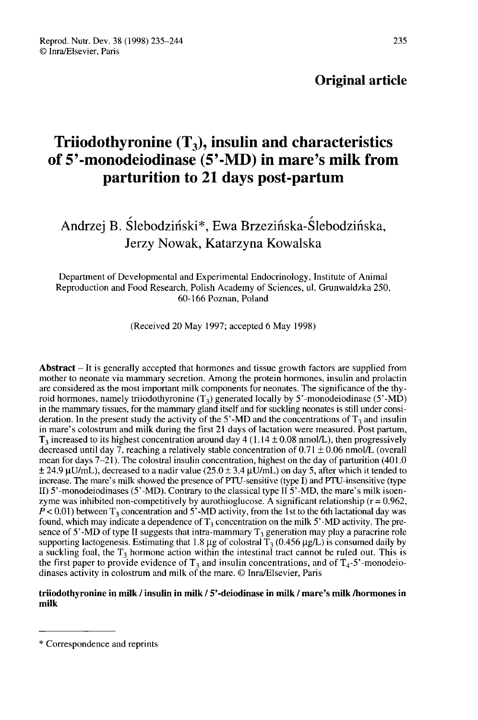# Original article

# Triiodothyronine  $(T_3)$ , insulin and characteristics of 5'-monodeiodinase (5'-MD) in mare's milk from parturition to 21 days post-partum

# Andrzej B. Ślebodziński\*, Ewa Brzezińska-Ślebodzińska, Jerzy Nowak, Katarzyna Kowalska

Department of Developmental and Experimental Endocrinology, Institute of Animal Reproduction and Food Research, Polish Academy of Sciences, ul. Grunwaldzka 250, 60-166 Poznan, Poland

(Received 20 May 1997; accepted 6 May 1998)

Abstract – It is generally accepted that hormones and tissue growth factors are supplied from mother to neonate via mammary secretion. Among the protein hormones, insulin and prolactin are considered as the most important milk components for neonates. The significance of the thyroid hormones, namely triiodothyronine  $(T_3)$  generated locally by 5'-monodeiodinase (5'-MD) in the mammary tissues, for the mammary gland itself and for suckling neonates is still under consideration. In the present study the activity of the 5'-MD and the concentrations of  $T_3$  and insulin in mare's colostrum and milk during the first 21 days of lactation were measured. Post partum,  $T_3$  increased to its highest concentration around day 4 (1.14  $\pm$  0.08 nmol/L), then progressively decreased until day 7, reaching a relatively stable concentration of  $0.71 \pm 0.06$  nmol/L (overall deration. In the present study the activity of the 5'-MD and the concentrations of  $T_3$  and insulin<br>in mare's colostrum and milk during the first 21 days of lactation were measured. Post partum,<br> $T_3$  increased to its hi increase. The mare's milk showed the presence of PTU-sensitive (type I) and PTU-insensitive (type II)  $5'$ -monodeiodinases (5'-MD). Contrary to the classical type II  $5'$ -MD, the mare's milk isoenzyme was inhibited non-competitively by aurothioglucose. A significant relationship (r = 0.962,  $P < 0.01$ ) between T<sub>3</sub> concentration and 5'-MD activity, from the 1st to the 6th lactational day was found, which may indica  $F < 0.01$ ) between T<sub>3</sub> concentration and 5'-MD activity, from the 1st to the 6th lactational day was found, which may indicate a dependence of T<sub>3</sub> concentration on the milk 5'-MD activity. The presence of 5'-MD of type increase. The mate s mix showed the presence of PTO-sensitive (type 1) and PTO-insensitive (type<br>II) 5'-monodeiodinases (5'-MD). Contrary to the classical type II 5'-MD, the mare's milk isoen-<br>zyme was inhibited non-compe dinases activity in colostrum and milk of the mare. © Inra/Elsevier, Paris

#### triiodothyronine in milk / insulin in milk / 5'-deiodinase in milk / mare's milk /hormones in milk

<sup>\*</sup> Correspondence and reprints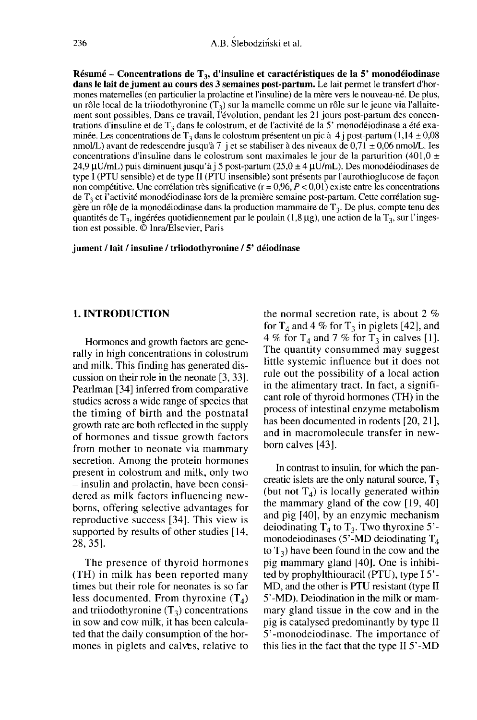Résumé - Concentrations de  $T_3$ , d'insuline et caractéristiques de la 5' monodéiodinase dans le lait de jument au cours des 3 semaines post-partum. Le lait permet le transfert d'horment de la mère v<br>mones maternelles (en particulier la prolactine et l'insuline) de la mère vers le nouveau-né. De plus, un rôle local de la triiodothyronine  $(T_3)$  sur la mamelle comme un rôle sur le jeune via l'allaitement sont possibles. Dans ce travail, l'évolution, pendant les 21 jours post-partum des concentrations d'insuline et de  $T_3$  dans le colostrum, et de l'activité de la 5' monodéiodinase a été examinée. Les concentrations de  $T_3$  dans le colostrum présentent un pic à 4 j post-partum (1,14 ± 0,08 nmol/L) avant de redescendre jusqu'à 7 j et se stabiliser à des niveaux de  $0.71 \pm 0.06$  nmol/L. Ies concentrations d'insuline dans le colostrum sont maximales le jour de la parturition (401,0  $\pm$ 24,9  $\mu$ U/mL) puis diminuent jusqu'à j 5 post-partum (25,0  $\pm$  4  $\mu$ U/mL). Des monodéiodinases de type I (PTU sensible) et de type II (PTU insensible) sont présents par l'aurothioglucose de façon non compétitive. Une corrélation très significative ( $r = 0.96$ ,  $P < 0.01$ ) existe entre les concentrations de  $T_3$  et l'activité monodéiodinase lors de la première semaine post-partum. Cette corrélation suggère un rôle de la monodéiodinase dans la production mammaire de  $T_3$ . De plus, compte tenu des quantités de  $T_3$ , ingérées quotidiennement par le poulain (1,8 µg), une action de la  $T_3$ , sur l'ingestion est possible. © Inra/Elsevier, Paris

jument / lait / insuline / triiodothyronine / 5' déiodinase

# 1. INTRODUCTION

Hormones and growth factors are generally in high concentrations in colostrum and milk. This finding has generated discussion on their role in the neonate [3, 33]. Pearlman [34] inferred from comparative studies across a wide range of species that the timing of birth and the postnatal growth rate are both reflected in the supply of hormones and tissue growth factors from mother to neonate via mammary secretion. Among the protein hormones present in colostrum and milk, only two - insulin and prolactin, have been considered as milk factors influencing newborns, offering selective advantages for reproductive success [34]. This view is supported by results of other studies [14, 28, 35].

The presence of thyroid hormones (TH) in milk has been reported many times but their role for neonates is so far<br>less documented. From thyroxine  $(T_4)$ <br>and trijudathyroning  $(T_1)$  concentrations less documented. From thyroxine  $(T_4)$ <br>and triiodothyronine  $(T_3)$  concentrations in sow and cow milk, it has been calculated that the daily consumption of the hormones in piglets and calves, relative to the normal secretion rate, is about 2 % for  $T_4$  and 4 % for  $T_3$  in piglets [42], and 4 % for  $T_4$  and 7 % for  $T_3$  in calves [1]. The quantity consummed may suggest little systemic influence but it does not rule out the possibility of a local action in the alimentary tract. In fact, a signifi cant role of thyroid hormones (TH) in the process of intestinal enzyme metabolism has been documented in rodents [20, 21], and in macromolecule transfer in newborn calves [43].

In contrast to insulin, for which the pancreatic islets are the only natural source,  $T_3$ (but not  $T_4$ ) is locally generated within the mammary gland of the cow [19, 40] and pig [40], by an enzymic mechanism deiodinating  $T_4$  to  $T_3$ . Two thyroxine 5'monodeiodinases (5'-MD deiodinating  $T_4$  to  $T_3$ ) have been found in the cow and the pig mammary gland [40]. One is inhibited by prophylthiouracil (PTU), type 15'- MD, and the other is PTU resistant (type II 5'-MD). Deiodination in the milk or mammary gland tissue in the cow and in the pig is catalysed predominantly by type II 5'-monodeiodinase. The importance of this lies in the fact that the type II 5'-MD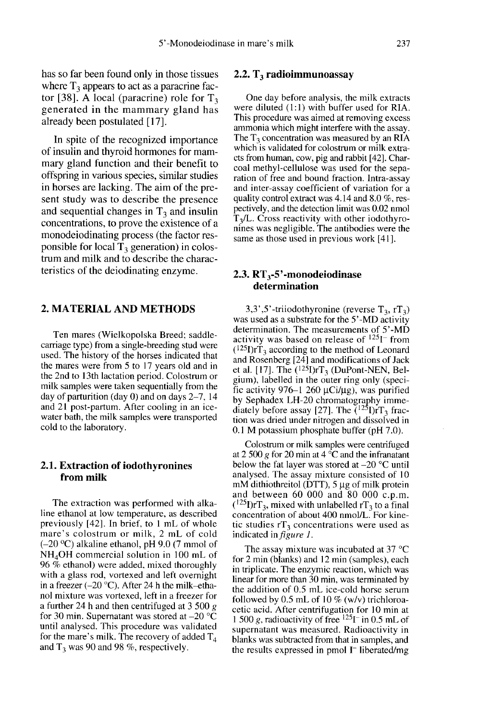has so far been found only in those tissues where  $T_3$  appears to act as a paracrine factor [38]. A local (paracrine) role for  $T_3$ generated in the mammary gland has already been postulated [17].

In spite of the recognized importance of insulin and thyroid hormones for mammary gland function and their benefit to offspring in various species, similar studies in horses are lacking. The aim of the pre sent study was to describe the presence and sequential changes in  $T_3$  and insulin concentrations, to prove the existence of a monodeiodinating process (the factor responsible for local  $T_3$  generation) in colostrum and milk and to describe the characteristics of the deiodinating enzyme.

# 2. MATERIAL AND METHODS

Ten mares (Wielkopolska Breed; saddlecarriage type) from a single-breeding stud were used. The history of the horses indicated that the mares were from 5 to 17 years old and in the 2nd to l3th lactation period. Colostrum or milk samples were taken sequentially from the day of parturition (day 0) and on days 2-7, 14 and 21 post-partum. After cooling in an icewater bath, the milk samples were transported cold to the laboratory.

# 2.1. Extraction of iodothyronines from milk

The extraction was performed with alkaline ethanol at low temperature, as described previously [42]. In brief, to 1 mL of whole mare's colostrum or milk, 2 mL of cold  $(-20 \degree C)$  alkaline ethanol, pH 9.0 (7 mmol of NH<sub>4</sub>OH commercial solution in 100 mL of previously [42]. In brief, to 1 mL of whole<br>mare's colostrum or milk, 2 mL of cold<br>(-20 °C) alkaline ethanol, pH 9.0 (7 mmol of<br>NH<sub>4</sub>OH commercial solution in 100 mL of<br>96 % ethanol) were added, mixed thoroughly 96 % ethanol) were added, mixed thoroughly with a glass rod, vortexed and left overnight in a freezer  $(-20 \degree C)$ . After 24 h the milk-ethanol mixture was vortexed, left in a freezer for a further 24 h and then centrifuged at 3 500  $g$ for 30 min. Supernatant was stored at  $-20$  °C until analysed. This procedure was validated for the mare's milk. The recovery of added  $T_4$ and  $T_3$  was 90 and 98 %, respectively.

#### 2.2.  $T_3$  radioimmunoassay

One day before analysis, the milk extracts were diluted (1:1) with buffer used for RIA. This procedure was aimed at removing excess ammonia which might interfere with the assay. The  $T_3$  concentration was measured by an RIA which is validated for colostrum or milk extracts from human, cow, pig and rabbit [42]. Charcoal methyl-cellulose was used for the separation of free and bound fraction. Intra-assay and inter-assay coefficient of variation for a quality control extract was 4.14 and 8.0 %, respectively, and the detection limit was 0.02 nmol  $T<sub>3</sub>/L$ . Cross reactivity with other iodothyro-<br>nines was negligible. The antibodies were the same as those used in previous work [41].

# 2.3.  $RT_3$ -5'-monodeiodinase determination

3,3',5'-triiodothyronine (reverse  $T_3$ , r $T_3$ ) was used as a substrate for the 5'-MD activity determination. The measurements of 5'-MD activity was based on release of  $125I^-$  from was used as a substrate for the 5<sup>2</sup>-MD activity<br>determination. The measurements of 5<sup>2</sup>-MD<br>activity was based on release of <sup>125</sup>1<sup>-</sup> from<br> $(1^{25}I) rT_3$  according to the method of Leonard<br>and Rosenberg [24] and modifica and Rosenberg  $[24]$  and modifications of Jack<br>et al. [17]. The  $(^{125}I)rT_3$  (DuPont-NEN, Belactivity was based on release of  $^{125}$ ]<sup>-</sup> from<br>( $^{125}$ J)<sup>-</sup>T<sub>3</sub> according to the method of Leonard<br>and Rosenberg [24] and modifications of Jack<br>et al. [17]. The ( $^{125}$ J)<sup>-T</sup><sub>3</sub> (DuPont-NEN, Bel-<br>gium), labelled in t gium), labelled in the outer ring only (speci-<br>fic activity 976–1 260  $\mu$ Ci/ $\mu$ g), was purified and Rosenberg [24] and modifications of Jacket al. [17]. The  $(^{125}I)rrT_3$  (DuPont-NEN, Belgium), labelled in the outer ring only (specific activity 976–1 260  $\mu$ Ci/ $\mu$ g), was purified by Sephadex LH-20 chromatography tion was dried under nitrogen and dissolved in 0.1 M potassium phosphate buffer (pH 7.0).

Colostrum or milk samples were centrifuged at 2 500 g for 20 min at 4  $\rm{^{\circ}C}$  and the infranatant below the fat layer was stored at  $-20$  °C until analysed. The assay mixture consisted of 10 mM dithiothreitol (DTT),  $5 \mu$ g of milk protein and between 60 000 and 80 000 c.p.m. below the fat layer was stored at  $-20$  °C untim-<br>analysed. The assay mixture consisted of 10<br>mM dithiothreitol (DTT), 5 µg of milk protein<br>and between 60 000 and 80 000 c.p.m.<br> $(^{125}I)rT_3$ , mixed with unlabelled rT<sub>3</sub> concentration of about 400 nmol/L. For kinetic studies  $rT_3$  concentrations were used as indicated in figure J.

The assay mixture was incubated at 37 °C for 2 min (blanks) and 12 min (samples), each in triplicate. The enzymic reaction, which was linear for more than 30 min, was terminated by the addition of 0.5 mL ice-cold horse serum followed by 0.5 mL of 10 % (w/v) trichloroacetic acid. After centrifugation for 10 min at<br>1 500 g, radioactivity of free <sup>125</sup>I<sup>-</sup> in 0.5 mL of supernatant was measured. Radioactivity in blanks was subtracted from that in samples, and the results expressed in pmol I- liberated/mg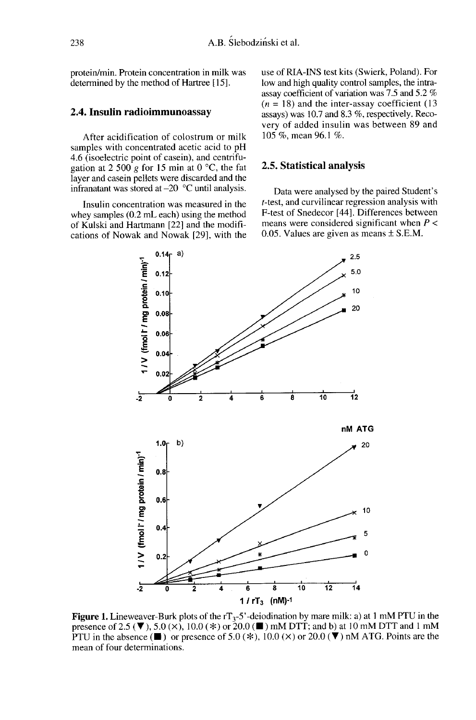238

protein/min. Protein concentration in milk was determined by the method of Hartree [15].

### 2.4. Insulin radioimmunoassay

After acidification of colostrum or milk samples with concentrated acetic acid to pH 4.6 (isoelectric point of casein), and centrifugation at 2 500 g for 15 min at 0  $^{\circ}$ C, the fat layer and casein pellets were discarded and the infranatant was stored at-20 °C until analysis.

Insulin concentration was measured in the whey samples (0.2 mL each) using the method of Kulski and Hartmann [22] and the modifications of Nowak and Nowak [29], with the use of RIA-INS test kits (Swierk, Poland). For low and high quality control samples, the intraassay coefficient of variation was 7.5 and 5.2 %  $(n = 18)$  and the inter-assay coefficient (13) assays) was 10.7 and 8.3 %, respectively. Recovery of added insulin was between 89 and 105 %, mean 96.1 %.

#### 2.5. Statistical analysis

Data were analysed by the paired Student's t-test, and curvilinear regression analysis with F-test of Snedecor [44]. Differences between means were considered significant when  $P \leq$ 0.05. Values are given as means ± S.E.M.



**Figure 1.** Lineweaver-Burk plots of the  $rT_3$ -5'-deiodination by mare milk: a) at 1 mM PTU in the presence of 2.5 (▼), 5.0 (×), 10.0 (\*) or 20.0 (■) mM DTT; and b) at 10 mM DTT and 1 mM PTU in the absence ( $\blacksquare$ ) or presence of 5.0 ( $\divideontimes$ ), 10.0 ( $\times$ ) or 20.0 ( $\nabla$ ) nM ATG. Points are the mean of four determinations.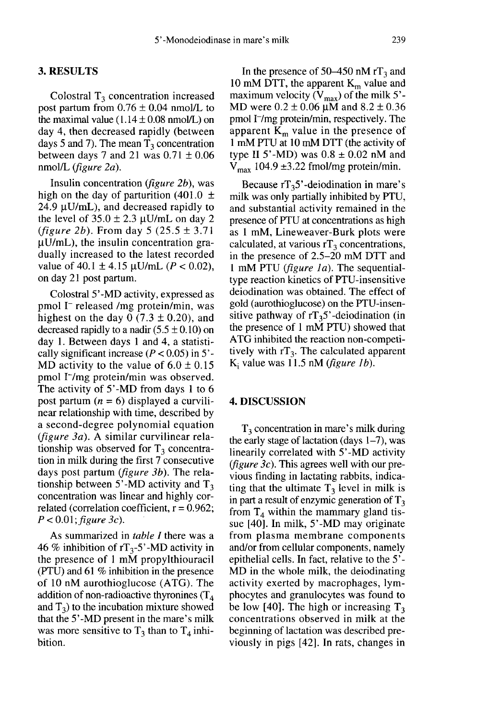#### 3. RESULTS

Colostral  $T_3$  concentration increased post partum from  $0.76 \pm 0.04$  nmol/L to the maximal value  $(1.14 \pm 0.08 \text{ nmol/L})$  on day 4, then decreased rapidly (between days 5 and 7). The mean  $T_3$  concentration between days 7 and 21 was  $0.71 \pm 0.06$ nmol/L (figure 2a).

Insulin concentration (figure 2b), was high on the day of parturition (401.0  $\pm$  $24.9 \mu U/mL$ ), and decreased rapidly to the level of  $35.0 \pm 2.3 \mu$ U/mL on day 2 (*figure 2b*). From day 5 (25.5  $\pm$  3.71  $\mu$ U/mL), the insulin concentration gradually increased to the latest recorded value of 40.1  $\pm$  4.15 µU/mL (P < 0.02), on day 21 post partum.

Colostral 5'-MD activity, expressed as pmol I<sup>-</sup> released /mg protein/min, was highest on the day  $0$  (7.3  $\pm$  0.20), and decreased rapidly to a nadir  $(5.5 \pm 0.10)$  on day 1. Between days 1 and 4, a statistically significant increase  $(P < 0.05)$  in 5'-MD activity to the value of  $6.0 \pm 0.15$ pmol I<sup>-</sup>/mg protein/min was observed. The activity of 5'-MD from days 1 to 6 post partum  $(n = 6)$  displayed a curvilinear relationship with time, described by a second-degree polynomial equation (*figure 3a*). A similar curvilinear relationship was observed for  $T<sub>3</sub>$  concentration in milk during the first 7 consecutive days post partum *(figure 3b)*. The relationship between 5'-MD activity and  $T_3$ concentration was linear and highly correlated (correlation coefficient,  $r = 0.962$ ;  $P < 0.01$ ; figure 3c).

As summarized in table I there was a 46 % inhibition of  $rT_3-5'$ -MD activity in the presence of 1 mM propylthiouracil (PTU) and 61 % inhibition in the presence of 10 nM aurothioglucose (ATG). The addition of non-radioactive thyronines  $(T_4)$ and  $T_3$ ) to the incubation mixture showed that the 5'-MD present in the mare's milk was more sensitive to  $T_3$  than to  $T_4$  inhibition.

In the presence of 50–450 nM  $rT_3$  and In the presence of 50–450 nM rT<sub>3</sub> and<br>10 mM DTT, the apparent  $K_m$  value and<br>maximum velocity ( $V_{max}$ ) of the milk 5'-<br>MD were  $0.2 \pm 0.06$  uM and  $8.2 \pm 0.36$ maximum velocity  $(V_{\text{max}})$  of the milk 5'-<br>MD were  $0.2 \pm 0.06 \mu M$  and  $8.2 \pm 0.36$ pmol I-/mg protein/min, respectively. The apparent  $K<sub>m</sub>$  value in the presence of 1 mM PTU at 10 mM DTT (the activity of type II 5'-MD) was  $0.8 \pm 0.02$  nM and  $V_{\text{max}}$  104.9 ±3.22 fmol/mg protein/min.<br>Because rT<sub>3</sub>5'-deiodination in mare's min  $D11$ , the apparent  $K_m$  value and<br>ximum velocity ( $V_{max}$ ) of the milk 5'-<br>D were  $0.2 \pm 0.06 \mu$ M and  $8.2 \pm 0.36$ <br>ool I<sup>-</sup>/mg protein/min, respectively. The<br>parent  $K_m$  value in the presence of<br>nM PTU at 10 mM DTT (t

milk was only partially inhibited by PTU, and substantial activity remained in the presence of PTU at concentrations as high as 1 mM, Lineweaver-Burk plots were calculated, at various  $rT_3$  concentrations, in the presence of 2.5-20 mM DTT and 1 mM PTU (figure 1a). The sequentialtype reaction kinetics of PTU-insensitive deiodination was obtained. The effect of gold (aurothioglucose) on the PTU-insensitive pathway of  $rT_35$ '-deiodination (in presence of PTU at concentrations as high<br>as 1 mM, Lineweaver-Burk plots were<br>calculated, at various  $rT_3$  concentrations,<br>in the presence of 2.5–20 mM DTT and<br>1 mM PTU (*figure 1a*). The sequential-<br>type reaction kineti the presence of 1 mM PTU) showed that ATG inhibited the reaction non-competitively with  $rT_3$ . The calculated apparent  $K_i$  value was 11.5 nM (*figure 1b*).

### 4. DISCUSSION

 $T_3$  concentration in mare's milk during the early stage of lactation (days  $1-7$ ), was linearily correlated with 5'-MD activity (*figure 3c*). This agrees well with our previous finding in lactating rabbits, indicating that the ultimate  $T_3$  level in milk is in part a result of enzymic generation of  $T_3$ from  $T_4$  within the mammary gland tissue [40]. In milk, 5'-MD may originate from plasma membrane components and/or from cellular components, namely epithelial cells. In fact, relative to the 5'- MD in the whole milk, the deiodinating activity exerted by macrophages, lymphocytes and granulocytes was found to be low [40]. The high or increasing  $T_3$ concentrations observed in milk at the beginning of lactation was described previously in pigs [42]. In rats, changes in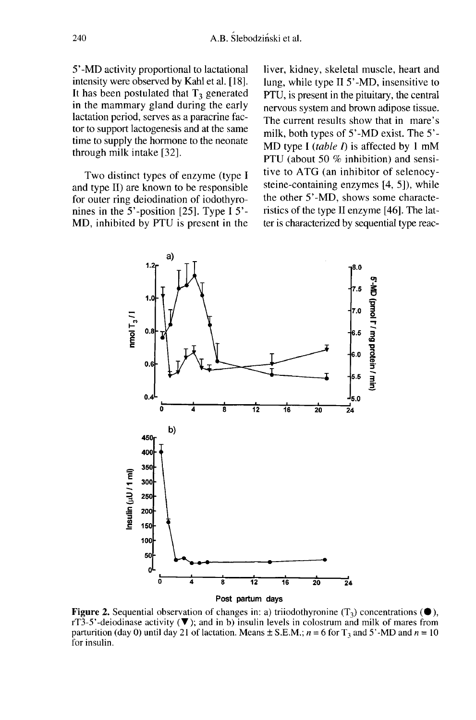5'-MD activity proportional to lactational intensity were observed by Kahl et al. [18]. It has been postulated that  $T<sub>3</sub>$  generated in the mammary gland during the early lactation period, serves as a paracrine factor to support lactogenesis and at the same time to supply the hormone to the neonate through milk intake [32].

Two distinct types of enzyme (type I and type II) are known to be responsible for outer ring deiodination of iodothyronines in the 5'-position [25]. Type I 5'- MD, inhibited by PTU is present in the liver, kidney, skeletal muscle, heart and lung, while type II 5'-MD, insensitive to PTU, is present in the pituitary, the central nervous system and brown adipose tissue. The current results show that in mare's milk, both types of 5'-MD exist. The 5'- MD type I (table I) is affected by 1 mM PTU (about 50 % inhibition) and sensitive to ATG (an inhibitor of selenocysteine-containing enzymes [4, 5]), while the other 5'-MD, shows some characteristics of the type II enzyme [46]. The latter is characterized by sequential type reac-



Figure 2. Sequential observation of changes in: a) triiodothyronine  $(T_3)$  concentrations  $(\bullet)$ , rT3-5'-deiodinase activity  $(\blacktriangledown)$ ; and in b) insulin levels in colostrum and milk of mares from parturition (day 0) until day 21 of lactation. Means  $\pm$  S.E.M.;  $n = 6$  for T<sub>3</sub> and 5'-MD and  $n = 10$ for insulin.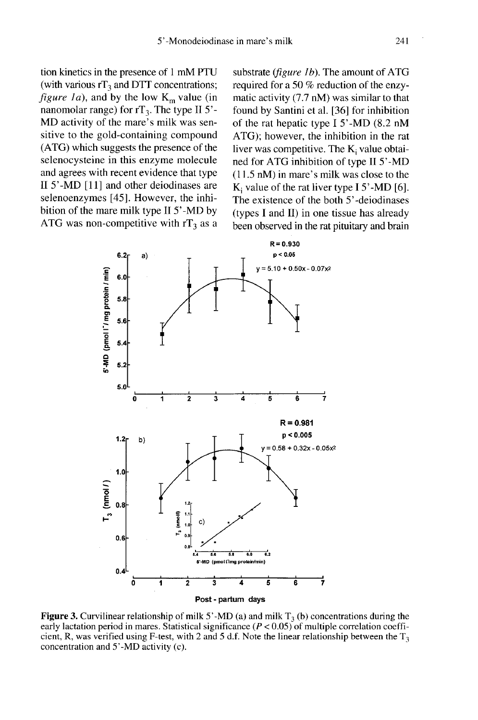tion kinetics in the presence of 1 mM PTU (with various  $rT_3$  and DTT concentrations; *figure 1a*), and by the low  $K_m$  value (in nanomolar range) for  $rT_3$ . The type II 5'-MD activity of the mare's milk was sensitive to the gold-containing compound (ATG) which suggests the presence of the selenocysteine in this enzyme molecule and agrees with recent evidence that type II 5'-MD [11] and other deiodinases are selenoenzymes [45]. However, the inhibition of the mare milk type II 5'-MD by ATG was non-competitive with  $rT_3$  as a substrate (*figure 1b*). The amount of ATG required for a 50 % reduction of the enzymatic activity (7.7 nM) was similar to that found by Santini et al. [36] for inhibition of the rat hepatic type I 5'-MD (8.2 nM ATG); however, the inhibition in the rat liver was competitive. The  $K_i$  value obtained for ATG inhibition of type II 5'-MD (11.5 nM) in mare's milk was close to the K<sub>i</sub> value of the rat liver type  $I$  5'-MD [6]. The existence of the both 5'-deiodinases (types I and II) in one tissue has already been observed in the rat pituitary and brain



**Figure 3.** Curvilinear relationship of milk 5'-MD (a) and milk  $T_3$  (b) concentrations during the early lactation period in mares. Statistical significance  $(P < 0.05)$  of multiple correlation coefficient, R, was verified using F-test, with 2 and 5 d.f. Note the linear relationship between the  $T_3$ concentration and 5'-MD activity (c).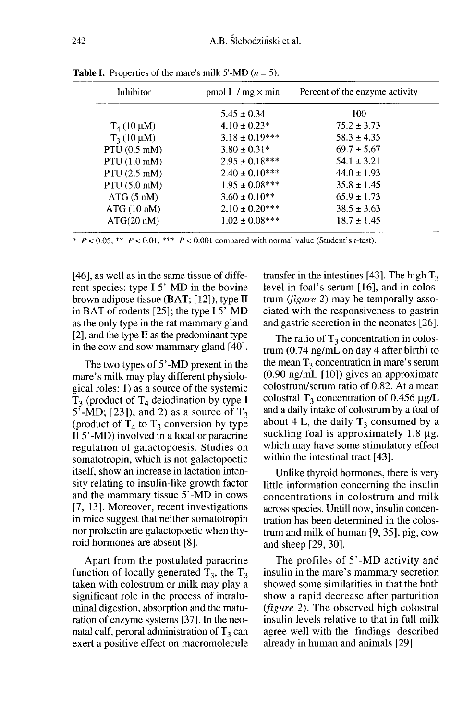| Inhibitor              | pmol $I^-/$ mg $\times$ min | Percent of the enzyme activity |
|------------------------|-----------------------------|--------------------------------|
|                        | $5.45 \pm 0.34$             | 100                            |
| $T_4$ (10 µM)          | $4.10 \pm 0.23*$            | $75.2 \pm 3.73$                |
| $T_3(10 \mu M)$        | $3.18 \pm 0.19***$          | $58.3 \pm 4.35$                |
| PTU $(0.5 \text{ mM})$ | $3.80 \pm 0.31*$            | $69.7 \pm 5.67$                |
| PTU $(1.0 \text{ mM})$ | $2.95 \pm 0.18***$          | $54.1 \pm 3.21$                |
| PTU $(2.5 \text{ mM})$ | $2.40 \pm 0.10^{***}$       | $44.0 \pm 1.93$                |
| PTU $(5.0 \text{ mM})$ | $1.95 \pm 0.08***$          | $35.8 \pm 1.45$                |
| ATG (5 nM)             | $3.60 \pm 0.10^{**}$        | $65.9 \pm 1.73$                |
| ATG (10 nM)            | $2.10 \pm 0.20***$          | $38.5 \pm 3.63$                |
| ATG(20~nM)             | $1.02 \pm 0.08***$          | $18.7 \pm 1.45$                |

**Table I.** Properties of the mare's milk 5'-MD ( $n = 5$ ).

\*  $P < 0.05$ , \*\*  $P < 0.01$ , \*\*\*  $P < 0.001$  compared with normal value (Student's t-test).

[46], as well as in the same tissue of different species: type I 5'-MD in the bovine brown adipose tissue (BAT; [12]), type 11 in BAT of rodents [25]; the type I 5'-MD as the only type in the rat mammary gland [2], and the type II as the predominant type in the cow and sow mammary gland [40].

The two types of 5'-MD present in the mare's milk may play different physiological roles: 1) as a source of the systemic T<sub>3</sub> (product of T<sub>4</sub> deiodination by type I<br>
5'-MD; [23]), and 2) as a source of T<sub>3</sub><br>
(product of T<sub>4</sub> to T<sub>3</sub> conversion by type 5'-MD; [23]), and 2) as a source of  $T_3$  (product of  $T_4$  to  $T_3$  conversion by type II 5'-MD) involved in a local or paracrine regulation of galactopoesis. Studies on somatotropin, which is not galactopoetic itself, show an increase in lactation intensity relating to insulin-like growth factor and the mammary tissue 5'-MD in cows [7, 13]. Moreover, recent investigations in mice suggest that neither somatotropin nor prolactin are galactopoetic when thyroid hormones are absent [8].

Apart from the postulated paracrine function of locally generated  $T_3$ , the  $T_3$ taken with colostrum or milk may play a significant role in the process of intraluminal digestion, absorption and the maturation of enzyme systems [37]. In the neonatal calf, peroral administration of  $T_3$  can exert a positive effect on macromolecule transfer in the intestines [43]. The high  $T_3$ level in foal's serum [16], and in colostrum (figure 2) may be temporally associated with the responsiveness to gastrin and gastric secretion in the neonates [26].

The ratio of  $T_3$  concentration in colostrum (0.74 ng/mL on day 4 after birth) to the mean  $T_3$  concentration in mare's serum (0.90 ng/mL [10]) gives an approximate colostrum/serum ratio of 0.82. At a mean colostral  $T_3$  concentration of 0.456  $\mu$ g/L and a daily intake of colostrum by a foal of about 4 L, the daily  $T_3$  consumed by a suckling foal is approximately  $1.8 \mu$ g, which may have some stimulatory effect within the intestinal tract [43].

Unlike thyroid hormones, there is very little information concerning the insulin concentrations in colostrum and milk across species. Untill now, insulin concentration has been determined in the colostrum and milk of human [9, 35], pig, cow and sheep [29, 30].

The profiles of 5'-MD activity and insulin in the mare's mammary secretion showed some similarities in that the both show a rapid decrease after parturition (figure 2). The observed high colostral insulin levels relative to that in full milk agree well with the findings described already in human and animals [29].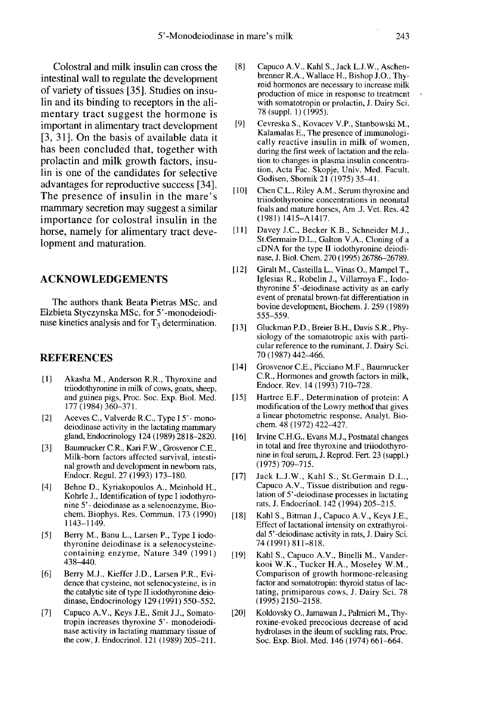Colostral and milk insulin can cross the intestinal wall to regulate the development of variety of tissues [35]. Studies on insulin and its binding to receptors in the alimentary tract suggest the hormone is important in alimentary tract development [3, 31]. On the basis of available data it has been concluded that, together with prolactin and milk growth factors, insulin is one of the candidates for selective advantages for reproductive success [34]. The presence of insulin in the mare's mammary secretion may suggest a similar importance for colostral insulin in the horse, namely for alimentary tract development and maturation.

#### ACKNOWLEDGEMENTS

The authors thank Beata Pietras MSc. and Elzbieta Styczynska MSc. for 5'-monodeiodinase kinetics analysis and for  $T_3$  determination.

#### **REFERENCES**

- [1] Akasha M., Anderson R.R., Thyroxine and triiodothyronine in milk of cows, goats, sheep, and guinea pigs, Proc. Soc. Exp. Biol. Med. 177 (1984) 360-371.
- [2] Aceves C., Valverde R.C., Type I 5'- monodeiodinase activity in the lactating mammary gland, Endocrinology 124 (1989) 2818-2820.
- [3] Baumrucker C.R., Kari F.W., Grosvenor C.E., Milk-born factors affected survival, intestinal growth and development in newborn rats, Endocr. Regul. 27 (1993) 173-180.
- [4] Behne D., Kyriakopoulos A., Meinhold H., Kohrle J., Identification of type I iodothyro nine 5'- deiodinase as a selenoenzyme, Biochem. Biophys. Res. Commun. 173 (1990) 1143-1149.
- [5] Berry M., Banu L., Larsen P., Type I iodothyronine deiodinase is a selenocysteinecontaining enzyme, Nature 349 (1991)<br>438–440.
- [6] Berry M.J., Kieffer J.D., Larsen P.R., Evidence that cysteine, not selenocysteine, is in the catalytic site of type II iodothyronine deiodinase, Endocrinology 129 (1991) 550-552.
- [7] Capuco A.V., Keys J.E., Smit J.J., Somatotropin increases thyroxine 5'- monodeiodinase activity in lactating mammary tissue of the cow, J. Endocrinol. 121 (1989) 205-211.
- [8] Capuco A.V., Kahl S., Jack L.J.W., Aschenbrenner R.A., Wallace H., Bishop J.O., Thy roid hormones are necessary to increase milk production of mice in response to treatment , with somatotropin or prolactin, J. Dairy Sci. 78 (suppl. 1) (1995).
- [9] Cevreska S., Kovacev V.P., Stanbowski M., Kalamalas E., The presence of immunologically reactive insulin in milk of women, during the first week of lactation and the relation to changes in plasma insulin concentration, Acta Fac. Skopje, Univ. Med. Facult. Godisen, Sbomik 21 (1975) 35-4 1 .
- [10] Chen C.L., Riley A.M., Serum thyroxine and triiodothyronine concentrations in neonatal foals and mature horses, Am .J. Vet. Res. 42 (1981) 1415-A1417.
- [11] Davey J.C., Becker K.B., Schneider M.J., St.Germain-D.L., Galton V.A., Cloning of a cDNA for the type II iodothyronine deiodinase, J. Biol. Chem. 270 (1995) 26786-26789.
- [12] Giralt M., Casteilla L., Vinas O., Mampel T., Iglesias R., Robelin J., Villarroya F., Iodothyronine 5'-deiodinase activity as an early event of prenatal brown-fat differentiation in bovine development, Biochem. J. 259 (1989) 555-559.
- [13] Gluckman P.D., Breier B.H., Davis S.R., Physiology of the somatotropic axis with parti cular reference to the ruminant, J. Dairy Sci. 70 (1987) 442-466.
- [14] Grosvenor C.E., Picciano M.F., Baumrucker C.R., Hormones and growth factors in milk, Endocr. Rev. 14 (1993) 710-728.
- [15] Hartree E.F., Determination of protein: A modification of the Lowry method that gives a linear photometric response, Analyt. Biochem. 48 (1972) 422-427.
- [16] Irvine C.H.G., Evans M.J., Postnatal changes in total and free thyroxine and triiodothyronine in foal serum, J. Reprod. Fert. 23 (suppl.) (1975) 709-715.
- [17] Jack L.J.W., Kahl S., St.Germain D.L., Capuco A.V., Tissue distribution and regu lation of 5'-deiodinase processes in lactating rats, J. Endocrinol. 142 (1994) 205-215.
- [18] Kahl S., Bitman J., Capuco A.V., Keys J.E., Effect of lactational intensity on extrathyroidal 5'-deiodinase activity in rats, J. Dairy Sci. 74 (1991) 811-818.
- [19] Kahl S., Capuco A.V., Binelli M., Vanderkooi W.K., Tucker H.A., Moseley W.M., Comparison of growth hormone-releasing factor and somatotropin: thyroid status of lactating, primiparous cows, J. Dairy Sci. 78  $(1995)$  2150-2158.
- [20] Koldovsky O., Jamawan J., Palmieri M., Thyroxine-evoked precocious decrease of acid hydrolases in the ileum of suckling rats, Proc. Soc. Exp. Biol. Med. 146 (1974) 661-664.